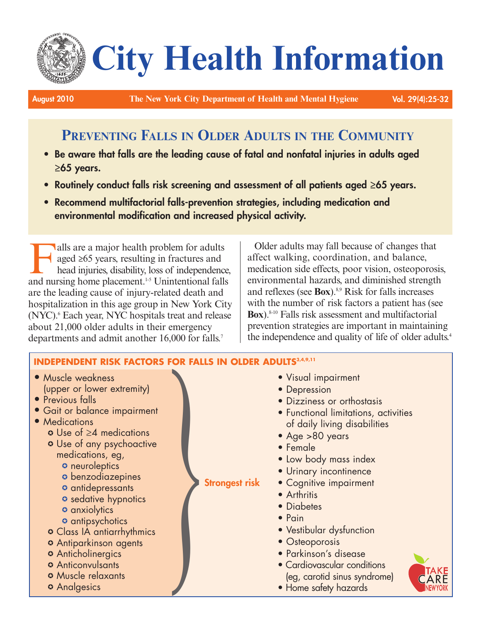# **City Health Information**

**August 2010 The New York City Department of Health and Mental Hygiene Vol. 29(4):25-32**

# **PREVENTING FALLS IN OLDER ADULTS IN THE COMMUNITY**

- **• Be aware that falls are the leading cause of fatal and nonfatal injuries in adults aged ≥65 years.**
- **• Routinely conduct falls risk screening and assessment of all patients aged ≥65 years.**
- **• Recommend multifactorial falls-prevention strategies, including medication and environmental modification and increased physical activity.**

alls are a major health problem for adults<br>aged  $\geq 65$  years, resulting in fractures and<br>head injuries, disability, loss of independence<br>and nursing home placement  $\frac{1}{5}$  I Inintentional fall aged ≥65 years, resulting in fractures and head injuries, disability, loss of independence, and nursing home placement. 1-5 Unintentional falls are the leading cause of injury-related death and hospitalization in this age group in New York City (NYC). <sup>6</sup> Each year, NYC hospitals treat and release about 21,000 older adults in their emergency departments and admit another 16,000 for falls. 7

Older adults may fall because of changes that affect walking, coordination, and balance, medication side effects, poor vision, osteoporosis, environmental hazards, and diminished strength and reflexes (see **Box**). 8,9 Risk for falls increases with the number of risk factors a patient has (see **Box**). 8-10 Falls risk assessment and multifactorial prevention strategies are important in maintaining the independence and quality of life of older adults. 4

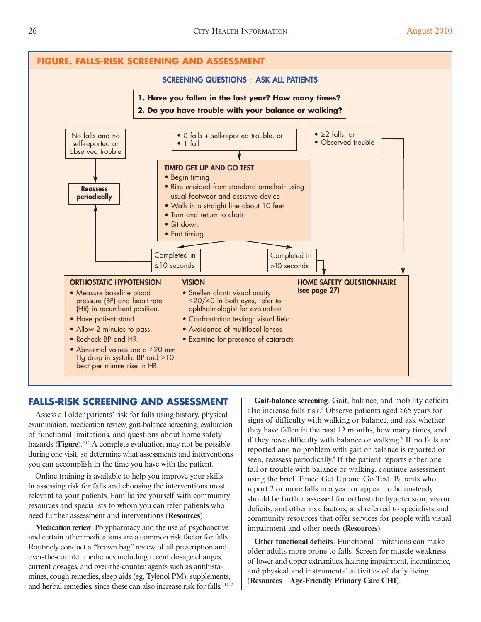

# **FALLS-RISK SCREENING AND ASSESSMENT**

Assess all older patients' risk for falls using history, physical examination, medication review, gait-balance screening, evaluation of functional limitations, and questions about home safety hazards (**Figure**).<sup>9,12</sup> A complete evaluation may not be possible during one visit, so determine what assessments and interventions you can accomplish in the time you have with the patient.

Online training is available to help you improve your skills in assessing risk for falls and choosing the interventions most relevant to your patients. Familiarize yourself with community resources and specialists to whom you can refer patients who need further assessment and interventions (**Resources**).

**Medication review**. Polypharmacy and the use of psychoactive and certain other medications are a common risk factor for falls. Routinely conduct a "brown bag" review of all prescription and over-the-counter medicines including recent dosage changes, current dosages, and over-the-counter agents such as antihistamines, cough remedies, sleep aids (eg, Tylenol PM), supplements, and herbal remedies, since these can also increase risk for falls. 9,11,12

**Gait-balance screening**. Gait, balance, and mobility deficits also increase falls risk. <sup>9</sup> Observe patients aged ≥65 years for signs of difficulty with walking or balance, and ask whether they have fallen in the past 12 months, how many times, and if they have difficulty with balance or walking.<sup>9</sup> If no falls are reported and no problem with gait or balance is reported or seen, reassess periodically.<sup>9</sup> If the patient reports either one fall or trouble with balance or walking, continue assessment using the brief Timed Get Up and Go Test. Patients who report 2 or more falls in a year or appear to be unsteady should be further assessed for orthostatic hypotension, vision deficits, and other risk factors, and referred to specialists and community resources that offer services for people with visual impairment and other needs (**Resources**).

**Other functional deficits**. Functional limitations can make older adults more prone to falls. Screen for muscle weakness of lower and upper extremities, hearing impairment, incontinence, and physical and instrumental activities of daily living (**Resources**—**Age-Friendly Primary Care CHI**).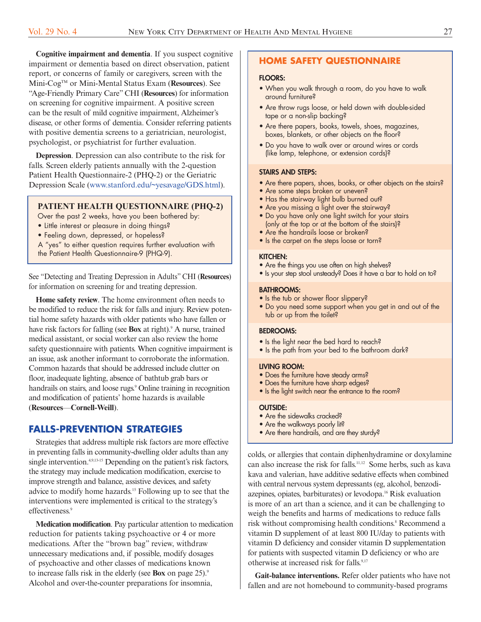**Cognitive impairment and dementia**. if you suspect cognitive impairment or dementia based on direct observation, patient report, or concerns of family or caregivers, screen with the mini-Cogtm or mini-mental Status Exam (**Resources**). See "age-Friendly Primary Care" CHi (**Resources**) for information on screening for cognitive impairment. A positive screen can be the result of mild cognitive impairment, alzheimer's disease, or other forms of dementia. Consider referring patients with positive dementia screens to a geriatrician, neurologist, psychologist, or psychiatrist for further evaluation.

**Depression**. Depression can also contribute to the risk for falls. Screen elderly patients annually with the 2-question Patient Health Questionnaire-2 (PHQ-2) or the Geriatric Depression Scale [\(www.stanford.edu/~yesavage/GDS.html\)](http://www.stanford.edu/~yesavage/GDS.html).

#### **PATIENT HEALTH QUESTIONNAIRE (PHQ-2)**

- Over the past 2 weeks, have you been bothered by:
- Little interest or pleasure in doing things?
- Feeling down, depressed, or hopeless?
- A "yes" to either question requires further evaluation with
- the Patient Health Questionnaire-9 (PHQ-9).

See "Detecting and Treating Depression in Adults" CHI (Resources) for information on screening for and treating depression.

**Home safety review**. the home environment often needs to be modified to reduce the risk for falls and injury. Review potential home safety hazards with older patients who have fallen or have risk factors for falling (see **Box** at right).<sup>9</sup> A nurse, trained medical assistant, or social worker can also review the home safety questionnaire with patients. When cognitive impairment is an issue, ask another informant to corroborate the information. Common hazards that should be addressed include clutter on floor, inadequate lighting, absence of bathtub grab bars or handrails on stairs, and loose rugs. <sup>9</sup> Online training in recognition and modification of patients' home hazards is available (**Resources**—**Cornell-Weill**).

#### **FALLS-PREVENTION STRATEGIES**

Strategies that address multiple risk factors are more effective in preventing falls in community-dwelling older adults than any single intervention.<sup>4,9,13-15</sup> Depending on the patient's risk factors, the strategy may include medication modification, exercise to improve strength and balance, assistive devices, and safety advice to modify home hazards. <sup>15</sup> Following up to see that the interventions were implemented is critical to the strategy's effectiveness. 9

**Medication modification**. Pay particular attention to medication reduction for patients taking psychoactive or 4 or more medications. after the "brown bag" review, withdraw unnecessary medications and, if possible, modify dosages of psychoactive and other classes of medications known to increase falls risk in the elderly (see **Box** on page 25). 9 alcohol and over-the-counter preparations for insomnia,

## **HOME SAFETY QUESTIONNAIRE**

#### **FLOORS:**

- When you walk through a room, do you have to walk around furniture?
- Are throw rugs loose, or held down with double-sided tape or a non-slip backing?
- Are there papers, books, towels, shoes, magazines, boxes, blankets, or other objects on the floor?
- Do you have to walk over or around wires or cords (like lamp, telephone, or extension cords)?

#### **STAIRS AND STEPS:**

- Are there papers, shoes, books, or other objects on the stairs?
- Are some steps broken or uneven?
- Has the stairway light bulb burned out?
- Are you missing a light over the stairway?
- Do you have only one light switch for your stairs (only at the top or at the bottom of the stairs)?
- Are the handrails loose or broken? • Is the carpet on the steps loose or torn?

#### **KITCHEN:**

- Are the things you use often on high shelves?
- Is your step stool unsteady? Does it have a bar to hold on to?

#### **BATHROOMS:**

- Is the tub or shower floor slippery?
- Do you need some support when you get in and out of the tub or up from the toilet?

#### **BEDROOMS:**

- Is the light near the bed hard to reach?
- Is the path from your bed to the bathroom dark?

#### **LIVING ROOM:**

- Does the furniture have steady arms?
- Does the furniture have sharp edges?
- Is the light switch near the entrance to the room?

#### **OUTSIDE:**

- Are the sidewalks cracked?
- Are the walkways poorly lit?
- Are there handrails, and are they sturdy?

colds, or allergies that contain diphenhydramine or doxylamine can also increase the risk for falls. 11,12 Some herbs, such as kava kava and valerian, have additive sedative effects when combined with central nervous system depressants (eg, alcohol, benzodiazepines, opiates, barbiturates) or levodopa. <sup>16</sup> Risk evaluation is more of an art than a science, and it can be challenging to weigh the benefits and harms of medications to reduce falls risk without compromising health conditions. <sup>8</sup> Recommend a vitamin D supplement of at least 800 IU/day to patients with vitamin D deficiency and consider vitamin D supplementation for patients with suspected vitamin D deficiency or who are otherwise at increased risk for falls. 9,17

**Gait-balance interventions.** Refer older patients who have not fallen and are not homebound to community-based programs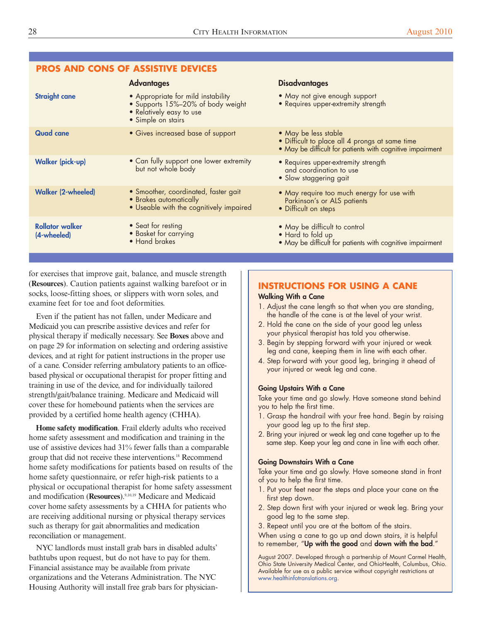#### **PROS AND CONS OF ASSISTIVE DEVICES** • Appropriate for mild instability • Supports 15%–20% of body weight • Relatively easy to use • Simple on stairs • Gives increased base of support • Can fully support one lower extremity but not whole body • Smoother, coordinated, faster gait • Brakes automatically • Useable with the cognitively impaired • Seat for resting • Basket for carrying • Hand brakes • May not give enough support • Requires upper-extremity strength • May be less stable • Difficult to place all 4 prongs at same time • May be difficult for patients with cognitive impairment • Requires upper-extremity strength and coordination to use • Slow staggering gait • May require too much energy for use with Parkinson's or ALS patients • Difficult on steps • May be difficult to control • Hard to fold up • May be difficult for patients with cognitive impairment **Straight cane Quad cane Walker (pick-up) Walker (2-wheeled) Rollator walker (4-wheeled) Advantages Disadvantages**

for exercises that improve gait, balance, and muscle strength (**Resources**). Caution patients against walking barefoot or in socks, loose-fitting shoes, or slippers with worn soles, and examine feet for toe and foot deformities.

Even if the patient has not fallen, under Medicare and medicaid you can prescribe assistive devices and refer for physical therapy if medically necessary. See **Boxes** above and on page 29 for information on selecting and ordering assistive devices, and at right for patient instructions in the proper use of a cane. Consider referring ambulatory patients to an officebased physical or occupational therapist for proper fitting and training in use of the device, and for individually tailored strength/gait/balance training. Medicare and Medicaid will cover these for homebound patients when the services are provided by a certified home health agency (CHHa).

**Home safety modification**. Frail elderly adults who received home safety assessment and modification and training in the use of assistive devices had 31% fewer falls than a comparable group that did not receive these interventions. <sup>18</sup> Recommend home safety modifications for patients based on results of the home safety questionnaire, or refer high-risk patients to a physical or occupational therapist for home safety assessment and modification (**Resources**). 9,10,19 medicare and medicaid cover home safety assessments by a CHHa for patients who are receiving additional nursing or physical therapy services such as therapy for gait abnormalities and medication reconciliation or management.

NYC landlords must install grab bars in disabled adults' bathtubs upon request, but do not have to pay for them. Financial assistance may be available from private organizations and the Veterans Administration. The NYC Housing Authority will install free grab bars for physician-

# **INSTRUCTIONS FOR USING A CANE**

#### **Walking With a Cane**

- 1. Adjust the cane length so that when you are standing, the handle of the cane is at the level of your wrist.
- 2. Hold the cane on the side of your good leg unless your physical therapist has told you otherwise.
- 3. Begin by stepping forward with your injured or weak leg and cane, keeping them in line with each other.
- 4. Step forward with your good leg, bringing it ahead of your injured or weak leg and cane.

#### **Going Upstairs With a Cane**

Take your time and go slowly. Have someone stand behind you to help the first time.

- 1. Grasp the handrail with your free hand. Begin by raising your good leg up to the first step.
- 2. Bring your injured or weak leg and cane together up to the same step. Keep your leg and cane in line with each other.

#### **Going Downstairs With a Cane**

Take your time and go slowly. Have someone stand in front of you to help the first time.

- 1. Put your feet near the steps and place your cane on the first step down.
- 2. Step down first with your injured or weak leg. Bring your good leg to the same step.
- 3. Repeat until you are at the bottom of the stairs.

When using a cane to go up and down stairs, it is helpful to remember, "**Up with the good** and **down with the bad**."

August 2007. Developed through a partnership of Mount Carmel Health, Ohio State University Medical Center, and OhioHealth, Columbus, Ohio. Available for use as a public service without copyright restrictions at [www.healthinfotranslations.org.](http://www.healthinfotranslations.org/)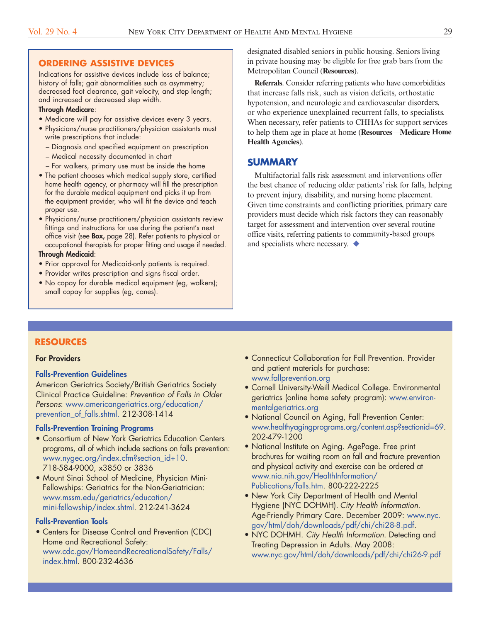# **ORDERING ASSISTIVE DEVICES**

Indications for assistive devices include loss of balance; history of falls; gait abnormalities such as asymmetry; decreased foot clearance, gait velocity, and step length; and increased or decreased step width.

#### **Through Medicare**:

- Medicare will pay for assistive devices every 3 years.
- Physicians/nurse practitioners/physician assistants must write prescriptions that include:
	- Diagnosis and specified equipment on prescription
	- Medical necessity documented in chart
	- For walkers, primary use must be inside the home
- The patient chooses which medical supply store, certified home health agency, or pharmacy will fill the prescription for the durable medical equipment and picks it up from the equipment provider, who will fit the device and teach proper use.
- Physicians/nurse practitioners/physician assistants review fittings and instructions for use during the patient's next office visit (see **Box,** page 28). Refer patients to physical or occupational therapists for proper fitting and usage if needed.

#### **Through Medicaid**:

- Prior approval for Medicaid-only patients is required.
- Provider writes prescription and signs fiscal order.
- No copay for durable medical equipment (eg, walkers); small copay for supplies (eg, canes).

designated disabled seniors in public housing. Seniors living in private housing may be eligible for free grab bars from the metropolitan Council (**Resources**).

**Referrals**. Consider referring patients who have comorbidities that increase falls risk, such as vision deficits, orthostatic hypotension, and neurologic and cardiovascular disorders, or who experience unexplained recurrent falls, to specialists. When necessary, refer patients to CHHAs for support services to help them age in place at home (**Resources**—**Medicare Home Health Agencies**).

# **SUMMARY**

multifactorial falls risk assessment and interventions offer the best chance of reducing older patients' risk for falls, helping to prevent injury, disability, and nursing home placement. Given time constraints and conflicting priorities, primary care providers must decide which risk factors they can reasonably target for assessment and intervention over several routine office visits, referring patients to community-based groups and specialists where necessary.  $\blacklozenge$ 

# **RESOURCES**

#### **For Providers**

#### **Falls-Prevention Guidelines**

American Geriatrics Society/British Geriatrics Society Clinical Practice Guideline: *Prevention of Falls in Older Persons*: [www.americangeriatrics.org/education/](http://www.americangeriatrics.org/health_care_professionals/clinical_practice/clinical_guidelines_recommendations/prevention_of_falls_summary_of_recommendations/) [prevention\\_of\\_falls.shtml.](http://www.americangeriatrics.org/education/prevention_of_falls.shtml) 212-308-1414

#### **Falls-Prevention Training Programs**

- Consortium of New York Geriatrics Education Centers programs, all of which include sections on falls prevention: [www.nygec.org/index.cfm?section\\_id+10](http://www.nygec.org/index.cfm?section_id+10). 718-584-9000, x3850 or 3836
- Mount Sinai School of Medicine, Physician Mini-Fellowships: Geriatrics for the Non-Geriatrician: [www.mssm.edu/geriatrics/education/](http://www.mssm.edu/departments-and-institutes/geriatrics-and-palliative-medicine/programs-and-services/physician-mini-fellowship) [mini-fellowship/index.shtml.](http://www.mssm.edu/departments-and-institutes/geriatrics-and-palliative-medicine/programs-and-services/physician-mini-fellowship) 212-241-3624

#### **Falls-Prevention Tools**

• Centers for Disease Control and Prevention (CDC) Home and Recreational Safety: [www.cdc.gov/HomeandRecreationalSafety/Falls/](http://www.cdc.gov/HomeandRecreationalSafety/Falls/index.html) [index.html](http://www.cdc.gov/HomeandRecreationalSafety/Falls/index.html). 800-232-4636

- Connecticut Collaboration for Fall Prevention. Provider and patient materials for purchase: [www.fallprevention.org](http://www.fallprevention.org/)
- Cornell University-Weill Medical College. Environmental geriatrics (online home safety program): [www.environ](http://www.environmentalgeriatrics.org/)[mentalgeriatrics.org](http://www.environmentalgeriatrics.org/)
- National Council on Aging, Fall Prevention Center: [www.healthyagingprograms.org/content.asp?sectionid=69](http://www.healthyagingprograms.org/content.asp?sectionid=69). 202-479-1200
- National Institute on Aging. AgePage. Free print brochures for waiting room on fall and fracture prevention and physical activity and exercise can be ordered at [www.nia.nih.gov/HealthInformation/](http://www.nia.nih.gov/HealthInformation/Publications/falls.htm) [Publications/falls.htm](http://www.nia.nih.gov/HealthInformation/Publications/falls.htm). 800-222-2225
- New York City Department of Health and Mental Hygiene (NYC DOHMH). *City Health Information*. Age-Friendly Primary Care. December 2009: [www.nyc.](http://www.nyc.gov/html/doh/downloads/pdf/chi/chi28-8.pdf) [gov/html/doh/downloads/pdf/chi/chi28-8.pdf.](http://www.nyc.gov/html/doh/downloads/pdf/chi/chi28-8.pdf)
- NYC DOHMH. *City Health Information*. Detecting and Treating Depression in Adults. May 2008: [www.nyc.gov/html/doh/downloads/pdf/chi/chi26-9.pdf](http://www.nyc.gov/html/doh/downloads/pdf/chi/chi26-9.pdf)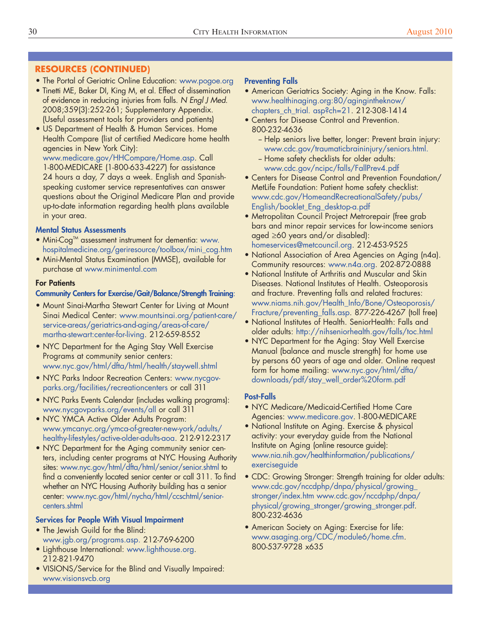# **RESOURCES (CONTINUED)**

- The Portal of Geriatric Online Education: [www.pogoe.org](http://www.pogoe.org/)
- Tinetti ME, Baker DI, King M, et al. Effect of dissemination of evidence in reducing injuries from falls. *N Engl J Med*. 2008;359(3):252-261; Supplementary Appendix. (Useful assessment tools for providers and patients)
- US Department of Health & Human Services. Home Health Compare (list of certified Medicare home health agencies in New York City):

[www.medicare.gov/HHCompare/Home.asp](http://www.medicare.gov/HHCompare/Home.asp?version=default&browser=Safari%7C5%7CMacOSX&language=English&defaultstatus=0&pagelist=Home&CookiesEnabledStatus=True). Call 1-800-MEDICARE (1-800-633-4227) for assistance 24 hours a day, 7 days a week. English and Spanishspeaking customer service representatives can answer questions about the Original Medicare Plan and provide up-to-date information regarding health plans available in your area.

# **Mental Status Assessments**

- Mini-Cog<sup>TM</sup> assessment instrument for dementia: [www.](http://www.hospitalmedicine.org/geriresource/toolbox/mini_cog.htm) [hospitalmedicine.org/geriresource/toolbox/mini\\_cog.htm](http://www.hospitalmedicine.org/geriresource/toolbox/mini_cog.htm)
- Mini-Mental Status Examination (MMSE), available for purchase at [www.minimental.com](http://www.minimental.com/)

# **For Patients**

## **Community Centers for Exercise/Gait/Balance/Strength Training**:

- Mount Sinai-Martha Stewart Center for Living at Mount Sinai Medical Center: [www.mountsinai.org/patient-care/](http://www.mountsinai.org/patient-care/service-areas/geriatrics-and-aging/areas-of-care/martha-stewart-center-for-living) [service-areas/geriatrics-and-aging/areas-of-care/](http://www.mountsinai.org/patient-care/service-areas/geriatrics-and-aging/areas-of-care/martha-stewart-center-for-living) [martha-stewart:center-for-living](http://www.mountsinai.org/patient-care/service-areas/geriatrics-and-aging/areas-of-care/martha-stewart-center-for-living). 212-659-8552
- NYC Department for the Aging Stay Well Exercise Programs at community senior centers: [www.nyc.gov/html/dfta/html/health/staywell.shtml](http://www.nyc.gov/html/dfta/html/health/staywell.shtml)
- NYC Parks Indoor Recreation Centers: [www.nycgov](http://www.nycgovparks.org/facilities/recreationcenters)[parks.org/facilities/recreationcenters](http://www.nycgovparks.org/facilities/recreationcenters) or call 311
- NYC Parks Events Calendar (includes walking programs): [www.nycgovparks.org/events/all](http://www.nycgovparks.org/events/all) or call 311
- NYC YMCA Active Older Adults Program: [www.ymcanyc.org/ymca-of-greater-new-york/adults/](http://www.ymcanyc.org/ymca-of-greater-new-york/adults/healthy-lifestyles/active-older-adults-aoa/) [healthy-lifestyles/active-older-adults-aoa](http://www.ymcanyc.org/ymca-of-greater-new-york/adults/healthy-lifestyles/active-older-adults-aoa/). 212-912-2317
- NYC Department for the Aging community senior centers, including center programs at NYC Housing Authority sites: [www.nyc.gov/html/dfta/html/senior/senior.shtml](http://www.nyc.gov/html/dfta/html/senior/senior.shtml) to find a conveniently located senior center or call 311. To find whether an NYC Housing Authority building has a senior center: [www.nyc.gov/html/nycha/html/ccschtml/senior](http://www.nyc.gov/html/nycha/html/ccschtml/seniorcenters.shtml)[centers.shtml](http://www.nyc.gov/html/nycha/html/ccschtml/seniorcenters.shtml)

# **Services for People With Visual Impairment**

- The Jewish Guild for the Blind: [www.jgb.org/programs.asp.](http://www.jgb.org/programs.asp) 212-769-6200
- Lighthouse International: [www.lighthouse.org](http://www.lighthouse.org/). 212-821-9470
- VISIONS/Service for the Blind and Visually Impaired: [www.visionsvcb.org](http://www.visionsvcb.org/)

# **Preventing Falls**

- American Geriatrics Society: Aging in the Know. Falls: [www.healthinaging.org:80/agingintheknow/](http://www.healthinaging.org:80/agingintheknow/chapters_ch_trial.asp?ch=21) chapters ch\_trial. asp?ch=21. 212-308-1414
- Centers for Disease Control and Prevention. 800-232-4636
	- Help seniors live better, longer: Prevent brain injury: [www.cdc.gov/traumaticbraininjury/seniors.html.](http://www.cdc.gov/traumaticbraininjury/seniors.html)
	- -- Home safety checklists for older adults: [www.cdc.gov/ncipc/falls/FallPrev4.pdf](http://www.cdc.gov/ncipc/falls/FallPrev4.pdf)
- Centers for Disease Control and Prevention Foundation/ MetLife Foundation: Patient home safety checklist: [www.cdc.gov/HomeandRecreationalSafety/pubs/](http://www.cdc.gov/HomeandRecreationalSafety/pubs/English/booklet_Eng_desktop-a.pdf) [English/booklet\\_Eng\\_desktop-a.pdf](http://www.cdc.gov/HomeandRecreationalSafety/pubs/English/booklet_Eng_desktop-a.pdf)
- Metropolitan Council Project Metrorepair (free grab bars and minor repair services for low-income seniors aged ≥60 years and/or disabled): [homeservices@metcouncil.org](mailto: homeservices@metcouncil.org). 212-453-9525
- National Association of Area Agencies on Aging (n4a). Community resources: [www.n4a.org](http://www.n4a.org/). 202-872-0888
- National Institute of Arthritis and Muscular and Skin Diseases. National Institutes of Health. Osteoporosis and fracture. Preventing falls and related fractures: [www.niams.nih.gov/Health\\_Info/Bone/Osteoporosis/](http://www.niams.nih.gov/Health_Info/Bone/Osteoporosis/Fracture/default.asp) [Fracture/preventing\\_falls.asp](http://www.niams.nih.gov/Health_Info/Bone/Osteoporosis/Fracture/default.asp). 877-226-4267 (toll free)
- National Institutes of Health. SeniorHealth: Falls and older adults: <http://nihseniorhealth.gov/falls/toc.html>
- NYC Department for the Aging: Stay Well Exercise Manual (balance and muscle strength) for home use by persons 60 years of age and older. Online request form for home mailing: [www.nyc.gov/html/dfta/](http://www.nyc.gov/html/dfta/downloads/pdf/stay_well_order%20form.pdf) [downloads/pdf/stay\\_well\\_order%20form.pdf](http://www.nyc.gov/html/dfta/downloads/pdf/stay_well_order%20form.pdf)

# **Post-Falls**

- NYC Medicare/Medicaid-Certified Home Care Agencies: [www.medicare.gov](http://www.medicare.gov/).1-800-MEDICARE
- National Institute on Aging. Exercise & physical activity: your everyday guide from the National Institute on Aging (online resource guide): [www.nia.nih.gov/healthinformation/publications/](http://www.nia.nih.gov/healthinformation/publications/exerciseguide) [exerciseguide](http://www.nia.nih.gov/healthinformation/publications/exerciseguide)
- CDC: Growing Stronger: Strength training for older adults: [www.cdc.gov/nccdphp/dnpa/physical/growing\\_](http://www.cdc.gov/physicalactivity/growingstronger/index.html) stronger/index.htm [www.cdc.gov/nccdphp/dnpa/](http://www.cdc.gov/physicalactivity/growingstronger/index.html) [physical/growing\\_stronger/growing\\_stronger.pdf](http://www.cdc.gov/physicalactivity/growingstronger/index.html). 800-232-4636
- American Society on Aging: Exercise for life: [www.asaging.org/CDC/module6/home.cfm](http://www.asaging.org/CDC/module6/home.cfm). 800-537-9728 x635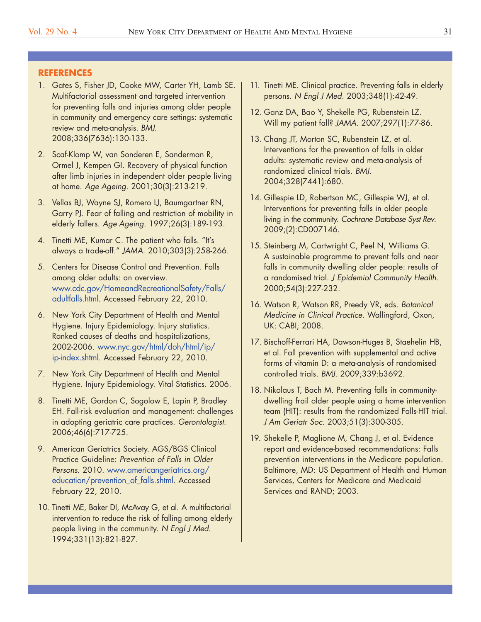#### **REFERENCES**

- 1. Gates S, Fisher JD, Cooke MW, Carter YH, Lamb SE. Multifactorial assessment and targeted intervention for preventing falls and injuries among older people in community and emergency care settings: systematic review and meta-analysis. *BMJ*. 2008;336(7636):130-133.
- 2. Scaf-Klomp W, van Sonderen E, Sanderman R, Ormel J, Kempen GI. Recovery of physical function after limb injuries in independent older people living at home. *Age Ageing*. 2001;30(3):213-219.
- 3. Vellas BJ, Wayne SJ, Romero LJ, Baumgartner RN, Garry PJ. Fear of falling and restriction of mobility in elderly fallers. *Age Ageing*. 1997;26(3):189-193.
- 4. Tinetti ME, Kumar C. The patient who falls. "It's always a trade-off." *JAMA*. 2010;303(3):258-266.
- 5. Centers for Disease Control and Prevention. Falls among older adults: an overview. [www.cdc.gov/HomeandRecreationalSafety/Falls/](http://www.cdc.gov/HomeandRecreationalSafety/Falls/adultfalls.html) [adultfalls.html](http://www.cdc.gov/HomeandRecreationalSafety/Falls/adultfalls.html). Accessed February 22, 2010.
- 6. New York City Department of Health and Mental Hygiene. Injury Epidemiology. Injury statistics. Ranked causes of deaths and hospitalizations, 2002-2006. [www.nyc.gov/html/doh/html/ip/](http://www.nyc.gov/html/doh/html/ip/ip-index.shtml) [ip-index.shtml.](http://www.nyc.gov/html/doh/html/ip/ip-index.shtml) Accessed February 22, 2010.
- 7. New York City Department of Health and Mental Hygiene. Injury Epidemiology. Vital Statistics. 2006.
- 8. Tinetti ME, Gordon C, Sogolow E, Lapin P, Bradley EH. Fall-risk evaluation and management: challenges in adopting geriatric care practices. *Gerontologist*. 2006;46(6):717-725.
- 9. American Geriatrics Society. AGS/BGS Clinical Practice Guideline: *Prevention of Falls in Older Persons*. 2010. [www.americangeriatrics.org/](http://www.americangeriatrics.org/health_care_professionals/clinical_practice/clinical_guidelines_recommendations/prevention_of_falls_summary_of_recommendations/) [education/prevention\\_of\\_falls.shtml.](http://www.americangeriatrics.org/health_care_professionals/clinical_practice/clinical_guidelines_recommendations/prevention_of_falls_summary_of_recommendations/) Accessed February 22, 2010.
- 10. Tinetti ME, Baker DI, McAvay G, et al. A multifactorial intervention to reduce the risk of falling among elderly people living in the community. *N Engl J Med*. 1994;331(13):821-827.
- 11. Tinetti ME. Clinical practice. Preventing falls in elderly persons. *N Engl J Med*. 2003;348(1):42-49.
- 12. Ganz DA, Bao Y, Shekelle PG, Rubenstein LZ. Will my patient fall? *JAMA*. 2007;297(1):77-86.
- 13. Chang JT, Morton SC, Rubenstein LZ, et al. Interventions for the prevention of falls in older adults: systematic review and meta-analysis of randomized clinical trials. *BMJ*. 2004;328(7441):680.
- 14. Gillespie LD, Robertson MC, Gillespie WJ, et al. Interventions for preventing falls in older people living in the community. *Cochrane Database Syst Rev*. 2009;(2):CD007146.
- 15. Steinberg M, Cartwright C, Peel N, Williams G. A sustainable programme to prevent falls and near falls in community dwelling older people: results of a randomised trial. *J Epidemiol Community Health*. 2000;54(3):227-232.
- 16. Watson R, Watson RR, Preedy VR, eds. *Botanical Medicine in Clinical Practice*. Wallingford, Oxon, UK: CABI; 2008.
- 17. Bischoff-Ferrari HA, Dawson-Huges B, Staehelin HB, et al. Fall prevention with supplemental and active forms of vitamin D: a meta-analysis of randomised controlled trials. *BMJ*. 2009;339:b3692.
- 18. Nikolaus T, Bach M. Preventing falls in communitydwelling frail older people using a home intervention team (HIT): results from the randomized Falls-HIT trial. *J Am Geriatr Soc*. 2003;51(3):300-305.
- 19. Shekelle P, Maglione M, Chang J, et al. Evidence report and evidence-based recommendations: Falls prevention interventions in the Medicare population. Baltimore, MD: US Department of Health and Human Services, Centers for Medicare and Medicaid Services and RAND; 2003.